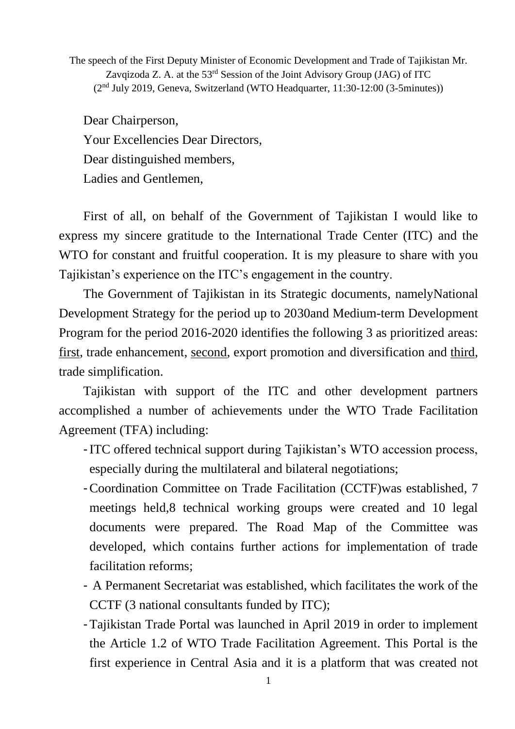The speech of the First Deputy Minister of Economic Development and Trade of Tajikistan Mr. Zavqizoda Z. A. at the  $53<sup>rd</sup>$  Session of the Joint Advisory Group (JAG) of ITC (2nd July 2019, Geneva, Switzerland (WTO Headquarter, 11:30-12:00 (3-5minutes))

Dear Chairperson, Your Excellencies Dear Directors, Dear distinguished members, Ladies and Gentlemen,

First of all, on behalf of the Government of Tajikistan I would like to express my sincere gratitude to the International Trade Center (ITC) and the WTO for constant and fruitful cooperation. It is my pleasure to share with you Tajikistan's experience on the ITC's engagement in the country.

The Government of Tajikistan in its Strategic documents, namelyNational Development Strategy for the period up to 2030and Medium-term Development Program for the period 2016-2020 identifies the following 3 as prioritized areas: first, trade enhancement, second, export promotion and diversification and third, trade simplification.

Tajikistan with support of the ITC and other development partners accomplished a number of achievements under the WTO Trade Facilitation Agreement (TFA) including:

- -ITC offered technical support during Tajikistan's WTO accession process, especially during the multilateral and bilateral negotiations;
- -Coordination Committee on Trade Facilitation (CCTF)was established, 7 meetings held,8 technical working groups were created and 10 legal documents were prepared. The Road Map of the Committee was developed, which contains further actions for implementation of trade facilitation reforms;
- A Permanent Secretariat was established, which facilitates the work of the CCTF (3 national consultants funded by ITC);
- -Tajikistan Trade Portal was launched in April 2019 in order to implement the Article 1.2 of WTO Trade Facilitation Agreement. This Portal is the first experience in Central Asia and it is a platform that was created not